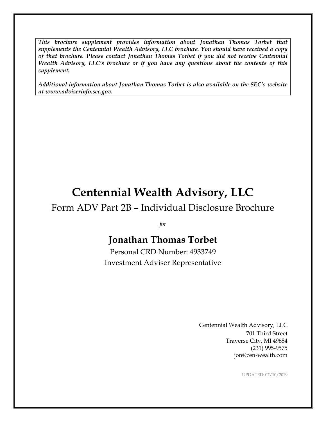*This brochure supplement provides information about Jonathan Thomas Torbet that supplements the Centennial Wealth Advisory, LLC brochure. You should have received a copy of that brochure. Please contact Jonathan Thomas Torbet if you did not receive Centennial Wealth Advisory, LLC's brochure or if you have any questions about the contents of this supplement.*

*Additional information about Jonathan Thomas Torbet is also available on the SEC's website at www.adviserinfo.sec.gov.*

# **Centennial Wealth Advisory, LLC**

## Form ADV Part 2B – Individual Disclosure Brochure

*for*

# **Jonathan Thomas Torbet**

Personal CRD Number: 4933749 Investment Adviser Representative

> Centennial Wealth Advisory, LLC 701 Third Street Traverse City, MI 49684 (231) 995-9575 jon@cen-wealth.com

> > UPDATED: 07/10/2019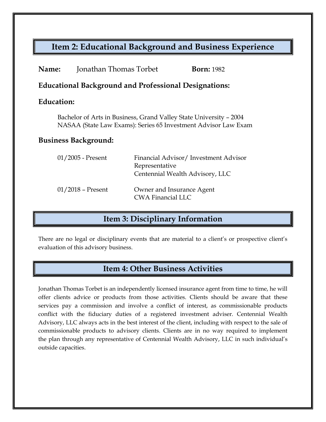## **Item 2: Educational Background and Business Experience**

| Name:                                                        | Jonathan Thomas Torbet                                                                                                               |                                                       | <b>Born:</b> 1982                    |  |
|--------------------------------------------------------------|--------------------------------------------------------------------------------------------------------------------------------------|-------------------------------------------------------|--------------------------------------|--|
| <b>Educational Background and Professional Designations:</b> |                                                                                                                                      |                                                       |                                      |  |
| Education:                                                   |                                                                                                                                      |                                                       |                                      |  |
|                                                              | Bachelor of Arts in Business, Grand Valley State University - 2004<br>NASAA (State Law Exams): Series 65 Investment Advisor Law Exam |                                                       |                                      |  |
| <b>Business Background:</b>                                  |                                                                                                                                      |                                                       |                                      |  |
|                                                              | $01/2005$ - Present                                                                                                                  | Representative<br>Centennial Wealth Advisory, LLC     | Financial Advisor/Investment Advisor |  |
|                                                              | $01/2018$ – Present                                                                                                                  | Owner and Insurance Agent<br><b>CWA Financial LLC</b> |                                      |  |

#### **Item 3: Disciplinary Information**

There are no legal or disciplinary events that are material to a client's or prospective client's evaluation of this advisory business.

#### **Item 4: Other Business Activities**

Jonathan Thomas Torbet is an independently licensed insurance agent from time to time, he will offer clients advice or products from those activities. Clients should be aware that these services pay a commission and involve a conflict of interest, as commissionable products conflict with the fiduciary duties of a registered investment adviser. Centennial Wealth Advisory, LLC always acts in the best interest of the client, including with respect to the sale of commissionable products to advisory clients. Clients are in no way required to implement the plan through any representative of Centennial Wealth Advisory, LLC in such individual's outside capacities.